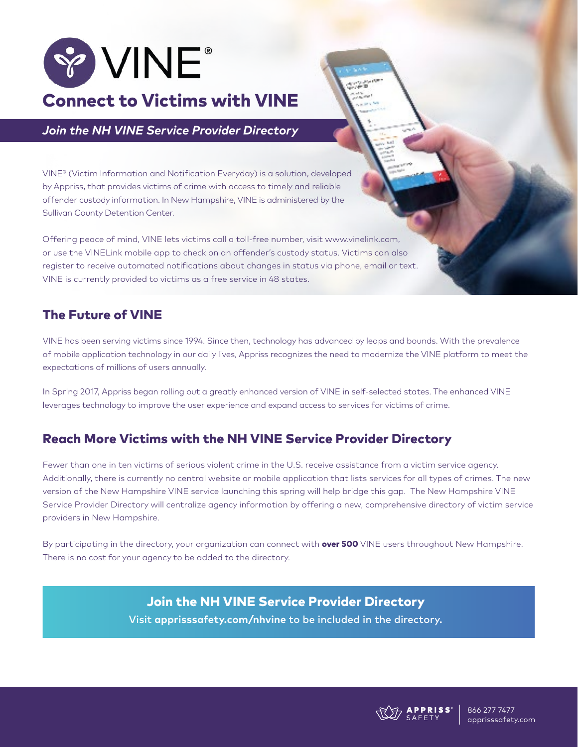

# *Join the NH VINE Service Provider Directory*

VINE® (Victim Information and Notification Everyday) is a solution, developed by Appriss, that provides victims of crime with access to timely and reliable offender custody information. In New Hampshire, VINE is administered by the Sullivan County Detention Center.

Offering peace of mind, VINE lets victims call a toll-free number, visit www.vinelink.com, or use the VINELink mobile app to check on an offender's custody status. Victims can also register to receive automated notifications about changes in status via phone, email or text. VINE is currently provided to victims as a free service in 48 states.

# The Future of VINE

VINE has been serving victims since 1994. Since then, technology has advanced by leaps and bounds. With the prevalence of mobile application technology in our daily lives, Appriss recognizes the need to modernize the VINE platform to meet the expectations of millions of users annually.

In Spring 2017, Appriss began rolling out a greatly enhanced version of VINE in self-selected states. The enhanced VINE leverages technology to improve the user experience and expand access to services for victims of crime.

# Reach More Victims with the NH VINE Service Provider Directory

Fewer than one in ten victims of serious violent crime in the U.S. receive assistance from a victim service agency. Additionally, there is currently no central website or mobile application that lists services for all types of crimes. The new version of the New Hampshire VINE service launching this spring will help bridge this gap. The New Hampshire VINE Service Provider Directory will centralize agency information by offering a new, comprehensive directory of victim service providers in New Hampshire.

By participating in the directory, your organization can connect with **over 500** VINE users throughout New Hampshire. There is no cost for your agency to be added to the directory.

## [Join the NH VINE Service Provider Directory](http://apprisssafety.com/nhvine)

Visit **[apprisssafety.com/nhvine](https://apprisssafety.com/nhvine)** to be included in the directory.